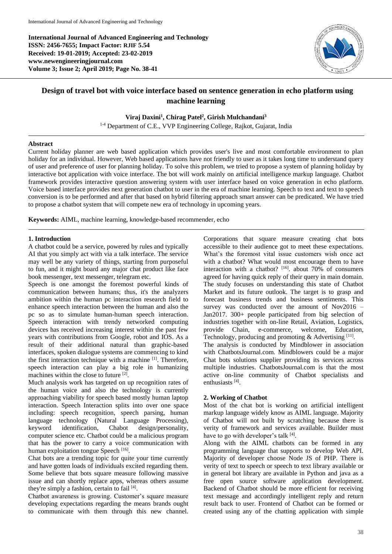**International Journal of Advanced Engineering and Technology ISSN: 2456-7655; Impact Factor: RJIF 5.54 Received: 19-01-2019; Accepted: 23-02-2019 www.newengineeringjournal.com Volume 3; Issue 2; April 2019; Page No. 38-41**



# **Design of travel bot with voice interface based on sentence generation in echo platform using machine learning**

# **Viraj Daxini<sup>1</sup> , Chirag Patel<sup>2</sup> , Girish Mulchandani<sup>3</sup>**

<sup>1-4</sup> Department of C.E., VVP Engineering College, Rajkot, Gujarat, India

## **Abstract**

Current holiday planner are web based application which provides user's live and most comfortable environment to plan holiday for an individual. However, Web based applications have not friendly to user as it takes long time to understand query of user and preference of user for planning holiday. To solve this problem, we tried to propose a system of planning holiday by interactive bot application with voice interface. The bot will work mainly on artificial intelligence markup language. Chatbot framework provides interactive question answering system with user interface based on voice generation in echo platform. Voice based interface provides next generation chatbot to user in the era of machine learning. Speech to text and text to speech conversion is to be performed and after that based on hybrid filtering approach smart answer can be predicated. We have tried to propose a chatbot system that will compete new era of technology in upcoming years.

**Keywords:** AIML, machine learning, knowledge-based recommender, echo

## **1. Introduction**

A chatbot could be a service, powered by rules and typically AI that you simply act with via a talk interface. The service may well be any variety of things, starting from purposeful to fun, and it might board any major chat product like face book messenger, text messenger, telegram etc.

Speech is one amongst the foremost powerful kinds of communication between humans; thus, it's the analyzers ambition within the human pc interaction research field to enhance speech interaction between the human and also the pc so as to simulate human-human speech interaction. Speech interaction with trendy networked computing devices has received increasing interest within the past few years with contributions from Google, robot and IOS. As a result of their additional natural than graphic-based interfaces, spoken dialogue systems are commencing to kind the first interaction technique with a machine [1]. Therefore, speech interaction can play a big role in humanizing machines within the close to future [2].

Much analysis work has targeted on up recognition rates of the human voice and also the technology is currently approaching viability for speech based mostly human laptop interaction. Speech Interaction splits into over one space including: speech recognition, speech parsing, human language technology (Natural Language Processing), keyword identification, Chabot design/personality, computer science etc. Chatbot could be a malicious program that has the power to carry a voice communication with human exploitation tongue Speech<sup>[16]</sup>.

Chat bots are a trending topic for quite your time currently and have gotten loads of individuals excited regarding them. Some believe that bots square measure following massive issue and can shortly replace apps, whereas others assume they're simply a fashion, certain to fail [4].

Chatbot awareness is growing. Customer's square measure developing expectations regarding the means brands ought to communicate with them through this new channel.

Corporations that square measure creating chat bots accessible to their audience got to meet these expectations. What's the foremost vital issue customers wish once act with a chatbot? What would most encourage them to have interaction with a chatbot?  $[16]$ . about 70% of consumers agreed for having quick reply of their query in main domain. The study focuses on understanding this state of Chatbot Market and its future outlook. The target is to grasp and forecast business trends and business sentiments. This survey was conducted over the amount of Nov2016 -Jan2017. 300+ people participated from big selection of industries together with on-line Retail, Aviation, Logistics, provide Chain, e-commerce, welcome, Education, Technology, producing and promoting & Advertising [11]. The analysis is conducted by Mindblower in association with ChatbotsJournal.com. Mindblowers could be a major Chat bots solutions supplier providing its services across multiple industries. ChatbotsJournal.com is that the most active on-line community of Chatbot specialists and enthusiasts<sup>[4]</sup>.

# **2. Working of Chatbot**

Most of the chat bot is working on artificial intelligent markup language widely know as AIML language. Majority of Chatbot will not built by scratching because there is verity of framework and services available. Builder must have to go with developer's talk [4].

Along with the AIML chatbots can be formed in any programming language that supports to develop Web API. Majority of developer choose Node JS of PHP. There is verity of text to speech or speech to text library available or in general bot library are available in Python and java as a free open source software application development. Backend of Chatbot should be more efficient for receiving text message and accordingly intelligent reply and return result back to user. Frontend of Chatbot can be formed or created using any of the chatting application with simple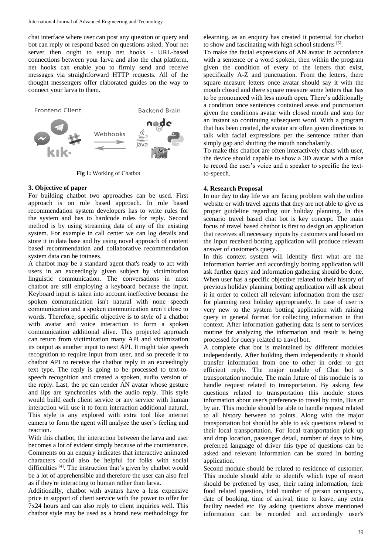chat interface where user can post any question or query and bot can reply or respond based on questions asked. Your net server then ought to setup net hooks - URL-based connections between your larva and also the chat platform. net hooks can enable you to firmly send and receive messages via straightforward HTTP requests. All of the thought messengers offer elaborated guides on the way to connect your larva to them.



**Fig 1:** Working of Chatbot

# **3. Objective of paper**

For building chatbot two approaches can be used. First approach is on rule based approach. In rule based recommendation system developers has to write rules for the system and has to hardcode rules for reply. Second method is by using streaming data of any of the existing system. For example in call center we can log details and store it in data base and by using novel approach of content based recommendation and collaborative recommendation system data can be trainees.

A chatbot may be a standard agent that's ready to act with users in an exceedingly given subject by victimization linguistic communication. The conversations in most chatbot are still employing a keyboard because the input. Keyboard input is taken into account ineffective because the spoken communication isn't natural with none speech communication and a spoken communication aren't close to words. Therefore, specific objective is to style of a chatbot with avatar and voice interaction to form a spoken communication additional alive. This projected approach can return from victimization many API and victimization its output as another input to next API. It might take speech recognition to require input from user, and so precede it to chatbot API to receive the chatbot reply in an exceedingly text type. The reply is going to be processed to text-tospeech recognition and created a spoken, audio version of the reply. Last, the pc can render AN avatar whose gesture and lips are synchronies with the audio reply. This style would build each client service or any service with human interaction will use it to form interaction additional natural. This style is any explored with extra tool like internet camera to form the agent will analyze the user's feeling and reaction.

With this chatbot, the interaction between the larva and user becomes a lot of evident simply because of the countenance. Comments on an enquiry indicates that interactive animated characters could also be helpful for folks with social difficulties [4]. The instruction that's given by chatbot would be a lot of apprehensible and therefore the user can also feel as if they're interacting to human rather than larva.

Additionally, chatbot with avatars have a less expensive price in support of client service with the power to offer for 7x24 hours and can also reply to client inquiries well. This chatbot style may be used as a brand new methodology for elearning, as an enquiry has created it potential for chatbot to show and fascinating with high school students [5].

To make the facial expressions of AN avatar in accordance with a sentence or a word spoken, then within the program given the condition of every of the letters that exist, specifically A-Z and punctuation. From the letters, there square measure letters once avatar should say it with the mouth closed and there square measure some letters that has to be pronounced with less mouth open. There's additionally a condition once sentences contained areas and punctuation given the conditions avatar with closed mouth and stop for an instant so continuing subsequent word. With a program that has been created, the avatar are often given directions to talk with facial expressions per the sentence rather than simply gap and shutting the mouth nonchalantly.

To make this chatbot are often interactively chats with user, the device should capable to show a 3D avatar with a mike to record the user's voice and a speaker to specific the textto-speech.

## **4. Research Proposal**

In our day to day life we are facing problem with the online website or with travel agents that they are not able to give us proper guideline regarding our holiday planning. In this scenario travel based chat bot is key concept. The main focus of travel based chatbot is first to design an application that receives all necessary inputs by customers and based on the input received botting application will produce relevant answer of customer's query.

In this context system will identify first what are the information barrier and accordingly botting application will ask further query and information gathering should be done. When user has a specific objective related to their history of previous holiday planning botting application will ask about it in order to collect all relevant information from the user for planning next holiday appropriately. In case of user is very new to the system botting application with raising query in general format for collecting information in that context. After information gathering data is sent to services routine for analyzing the information and result is being processed for query related to travel bot.

A complete chat bot is maintained by different modules independently. After building them independently it should transfer information from one to other in order to get efficient reply. The major module of Chat bot is transportation module. The main future of this module is to handle request related to transportation. By asking few questions related to transportation this module stores information about user's preference to travel by train, Bus or by air. This module should be able to handle request related to all history between to points. Along with the major transportation bot should be able to ask questions related to their local transportation. For local transportation pick up and drop location, passenger detail, number of days to hire, preferred language of driver this type of questions can be asked and relevant information can be stored in botting application.

Second module should be related to residence of customer. This module should able to identify which type of resort should be preferred by user, their rating information, their food related question, total number of person occupancy, date of booking, time of arrival, time to leave, any extra facility needed etc. By asking questions above mentioned information can be recorded and accordingly user's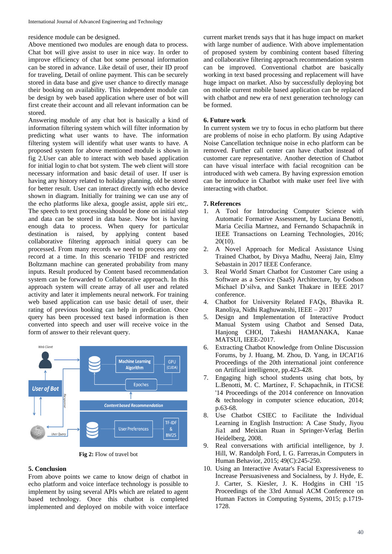residence module can be designed.

Above mentioned two modules are enough data to process. Chat bot will give assist to user in nice way. In order to improve efficiency of chat bot some personal information can be stored in advance. Like detail of user, their ID proof for traveling, Detail of online payment. This can be securely stored in data base and give user chance to directly manage their booking on availability. This independent module can be design by web based application where user of bot will first create their account and all relevant information can be stored.

Answering module of any chat bot is basically a kind of information filtering system which will filter information by predicting what user wants to have. The information filtering system will identify what user wants to have. A proposed system for above mentioned module is shown in fig 2.User can able to interact with web based application for initial login to chat bot system. The web client will store necessary information and basic detail of user. If user is having any history related to holiday planning, old be stored for better result. User can interact directly with echo device shown in diagram. Initially for training we can use any of the echo platforms like alexa, google assist, apple siri etc,. The speech to text processing should be done on initial step and data can be stored in data base. Now bot is having enough data to process. When query for particular destination is raised, by applying content based collaborative filtering approach initial query can be processed. From many records we need to process any one record at a time. In this scenario TFIDF and restricted Boltzmann machine can generated probability from many inputs. Result produced by Content based recommendation system can be forwarded to Collaborative approach. In this approach system will create array of all user and related activity and later it implements neural network. For training web based application can use basic detail of user, their rating of previous booking can help in predication. Once query has been processed text based information is then converted into speech and user will receive voice in the form of answer to their relevant query.



**Fig 2:** Flow of travel bot

#### **5. Conclusion**

From above points we came to know deign of chatbot in echo platform and voice interface technology is possible to implement by using several APIs which are related to agent based technology. Once this chatbot is completed implemented and deployed on mobile with voice interface current market trends says that it has huge impact on market with large number of audience. With above implementation of proposed system by combining content based filtering and collaborative filtering approach recommendation system can be improved. Conventional chatbot are basically working in text based processing and replacement will have huge impact on market. Also by successfully deploying bot on mobile current mobile based application can be replaced with chatbot and new era of next generation technology can be formed.

# **6. Future work**

In current system we try to focus in echo platform but there are problems of noise in echo platform. By using Adaptive Noise Cancellation technique noise in echo platform can be removed. Further call center can have chatbot instead of customer care representative. Another detection of Chatbot can have visual interface with facial recognition can be introduced with web camera. By having expression emotion can be introduce in Chatbot with make user feel live with interacting with chatbot.

#### **7. References**

- 1. A Tool for Introducing Computer Science with Automatic Formative Assessment, by Luciana Benotti, Maria Cecilia Martnez, and Fernando Schapachnik in IEEE Transactions on Learning Technologies, 2016; 20(10).
- 2. A Novel Approach for Medical Assistance Using Trained Chatbot, by Divya Madhu, Neeraj Jain, Elmy Sebastain in 2017 IEEE Conferance.
- 3. Real World Smart Chatbot for Customer Care using a Software as a Service (SaaS) Architecture, by Godson Michael D'silva, and Sanket Thakare in IEEE 2017 conference.
- 4. Chatbot for University Related FAQs, Bhavika R. Ranoliya, Nidhi Raghuwanshi, IEEE – 2017
- 5. Design and Implementation of Interactive Product Manual System using Chatbot and Sensed Data, Hanjong CHOI, Takeshi HAMANAKA, Kanae MATSUI, IEEE-2017.
- 6. Extracting Chatbot Knowledge from Online Discussion Forums, by J. Huang, M. Zhou, D. Yang, in IJCAI'16 Proceedings of the 20th international joint conference on Artifical intelligence, pp.423-428.
- 7. Engaging high school students using chat bots, by L.Benotti, M. C. Martínez, F. Schapachnik, in ITiCSE '14 Proceedings of the 2014 conference on Innovation & technology in computer science education, 2014; p.63-68.
- 8. Use Chatbot CSIEC to Facilitate the Individual Learning in English Instruction: A Case Study, Jiyou Jia1 and Meixian Ruan in Springer-Verlag Berlin Heidelberg, 2008.
- 9. Real conversations with artificial intelligence, by J. Hill, W. Randolph Ford, I. G. Farreras,in Computers in Human Behavior, 2015; 49(C):245-250.
- 10. Using an Interactive Avatar's Facial Expressiveness to Increase Persuasiveness and Socialness, by J. Hyde, E. J. Carter, S. Kiesler, J. K. Hodgins in CHI '15 Proceedings of the 33rd Annual ACM Conference on Human Factors in Computing Systems, 2015; p.1719- 1728.